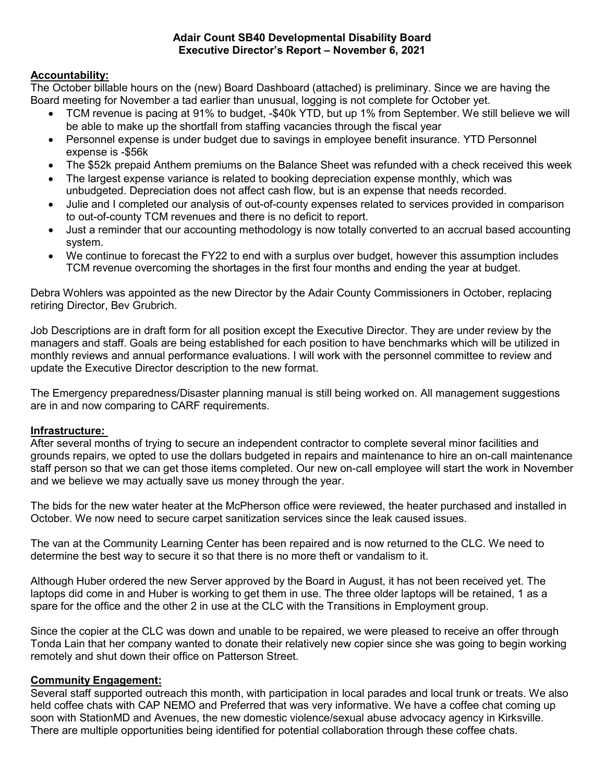#### Adair Count SB40 Developmental Disability Board Executive Director's Report – November 6, 2021

## Accountability:

The October billable hours on the (new) Board Dashboard (attached) is preliminary. Since we are having the Board meeting for November a tad earlier than unusual, logging is not complete for October yet.

- TCM revenue is pacing at 91% to budget, -\$40k YTD, but up 1% from September. We still believe we will be able to make up the shortfall from staffing vacancies through the fiscal year
- Personnel expense is under budget due to savings in employee benefit insurance. YTD Personnel expense is -\$56k
- The \$52k prepaid Anthem premiums on the Balance Sheet was refunded with a check received this week
- The largest expense variance is related to booking depreciation expense monthly, which was unbudgeted. Depreciation does not affect cash flow, but is an expense that needs recorded.
- Julie and I completed our analysis of out-of-county expenses related to services provided in comparison to out-of-county TCM revenues and there is no deficit to report.
- Just a reminder that our accounting methodology is now totally converted to an accrual based accounting system.
- We continue to forecast the FY22 to end with a surplus over budget, however this assumption includes TCM revenue overcoming the shortages in the first four months and ending the year at budget.

Debra Wohlers was appointed as the new Director by the Adair County Commissioners in October, replacing retiring Director, Bev Grubrich.

Job Descriptions are in draft form for all position except the Executive Director. They are under review by the managers and staff. Goals are being established for each position to have benchmarks which will be utilized in monthly reviews and annual performance evaluations. I will work with the personnel committee to review and update the Executive Director description to the new format.

The Emergency preparedness/Disaster planning manual is still being worked on. All management suggestions are in and now comparing to CARF requirements.

### Infrastructure:

After several months of trying to secure an independent contractor to complete several minor facilities and grounds repairs, we opted to use the dollars budgeted in repairs and maintenance to hire an on-call maintenance staff person so that we can get those items completed. Our new on-call employee will start the work in November and we believe we may actually save us money through the year.

The bids for the new water heater at the McPherson office were reviewed, the heater purchased and installed in October. We now need to secure carpet sanitization services since the leak caused issues.

The van at the Community Learning Center has been repaired and is now returned to the CLC. We need to determine the best way to secure it so that there is no more theft or vandalism to it.

Although Huber ordered the new Server approved by the Board in August, it has not been received yet. The laptops did come in and Huber is working to get them in use. The three older laptops will be retained, 1 as a spare for the office and the other 2 in use at the CLC with the Transitions in Employment group.

Since the copier at the CLC was down and unable to be repaired, we were pleased to receive an offer through Tonda Lain that her company wanted to donate their relatively new copier since she was going to begin working remotely and shut down their office on Patterson Street.

### Community Engagement:

Several staff supported outreach this month, with participation in local parades and local trunk or treats. We also held coffee chats with CAP NEMO and Preferred that was very informative. We have a coffee chat coming up soon with StationMD and Avenues, the new domestic violence/sexual abuse advocacy agency in Kirksville. There are multiple opportunities being identified for potential collaboration through these coffee chats.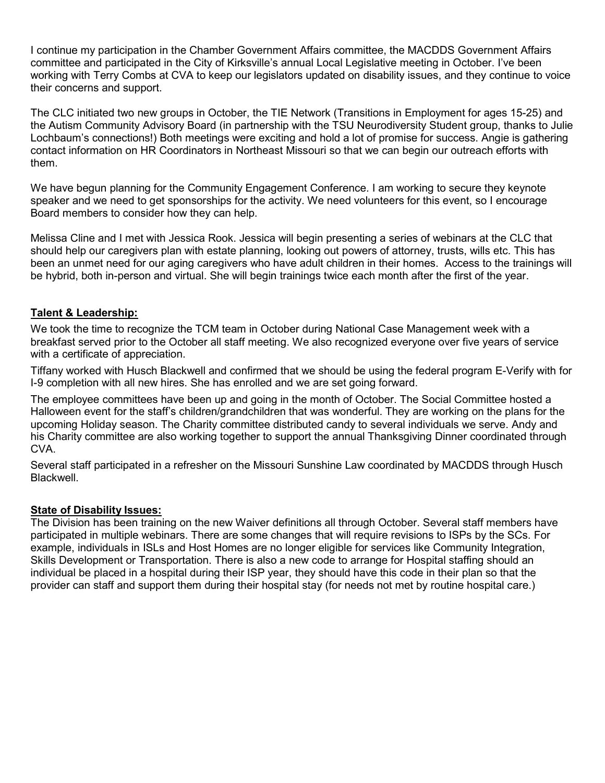I continue my participation in the Chamber Government Affairs committee, the MACDDS Government Affairs committee and participated in the City of Kirksville's annual Local Legislative meeting in October. I've been working with Terry Combs at CVA to keep our legislators updated on disability issues, and they continue to voice their concerns and support.

The CLC initiated two new groups in October, the TIE Network (Transitions in Employment for ages 15-25) and the Autism Community Advisory Board (in partnership with the TSU Neurodiversity Student group, thanks to Julie Lochbaum's connections!) Both meetings were exciting and hold a lot of promise for success. Angie is gathering contact information on HR Coordinators in Northeast Missouri so that we can begin our outreach efforts with them.

We have begun planning for the Community Engagement Conference. I am working to secure they keynote speaker and we need to get sponsorships for the activity. We need volunteers for this event, so I encourage Board members to consider how they can help.

Melissa Cline and I met with Jessica Rook. Jessica will begin presenting a series of webinars at the CLC that should help our caregivers plan with estate planning, looking out powers of attorney, trusts, wills etc. This has been an unmet need for our aging caregivers who have adult children in their homes. Access to the trainings will be hybrid, both in-person and virtual. She will begin trainings twice each month after the first of the year.

# Talent & Leadership:

We took the time to recognize the TCM team in October during National Case Management week with a breakfast served prior to the October all staff meeting. We also recognized everyone over five years of service with a certificate of appreciation.

Tiffany worked with Husch Blackwell and confirmed that we should be using the federal program E-Verify with for I-9 completion with all new hires. She has enrolled and we are set going forward.

The employee committees have been up and going in the month of October. The Social Committee hosted a Halloween event for the staff's children/grandchildren that was wonderful. They are working on the plans for the upcoming Holiday season. The Charity committee distributed candy to several individuals we serve. Andy and his Charity committee are also working together to support the annual Thanksgiving Dinner coordinated through CVA.

Several staff participated in a refresher on the Missouri Sunshine Law coordinated by MACDDS through Husch Blackwell.

#### **State of Disability Issues:**

The Division has been training on the new Waiver definitions all through October. Several staff members have participated in multiple webinars. There are some changes that will require revisions to ISPs by the SCs. For example, individuals in ISLs and Host Homes are no longer eligible for services like Community Integration, Skills Development or Transportation. There is also a new code to arrange for Hospital staffing should an individual be placed in a hospital during their ISP year, they should have this code in their plan so that the provider can staff and support them during their hospital stay (for needs not met by routine hospital care.)